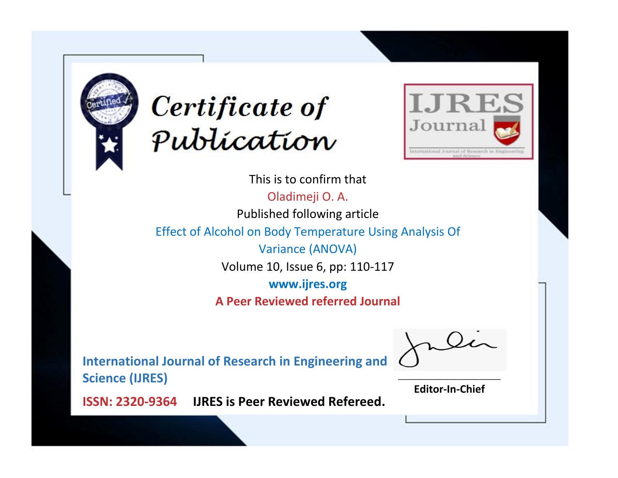



This is to confirm that Oladimeji O. A. Published following article Effect of Alcohol on Body Temperature Using Analysis Of Variance (ANOVA) Volume 10, Issue 6, pp: 110-117 **www.ijres.org A Peer Reviewed referred Journal**

**International Journal of Research in Engineering and Science (IJRES)**

\_\_\_\_\_\_\_\_\_\_\_\_\_\_\_\_\_\_\_\_\_\_\_\_ **Editor-In-Chief**

**Journal.**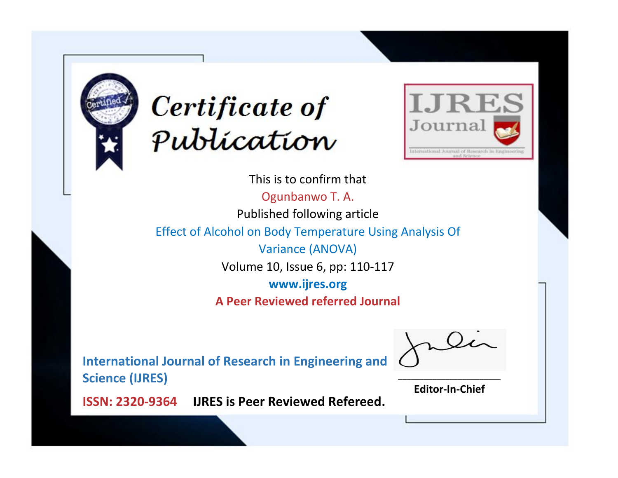



This is to confirm that Ogunbanwo T. A. Published following article Effect of Alcohol on Body Temperature Using Analysis Of Variance (ANOVA) Volume 10, Issue 6, pp: 110-117 **www.ijres.org A Peer Reviewed referred Journal**

**International Journal of Research in Engineering and Science (IJRES)**

\_\_\_\_\_\_\_\_\_\_\_\_\_\_\_\_\_\_\_\_\_\_\_\_ **Editor-In-Chief**

**Journal.**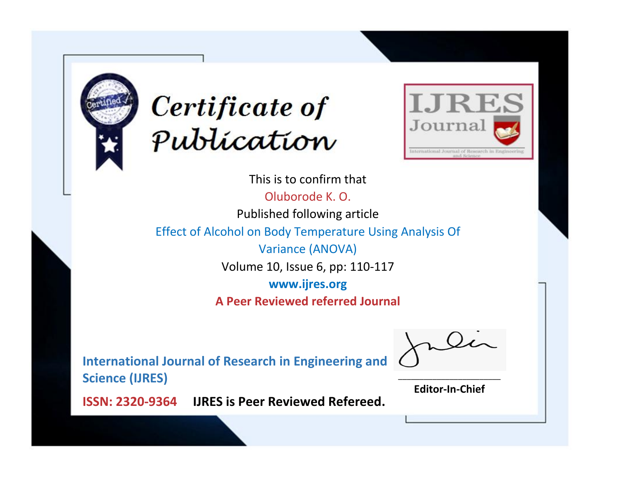



This is to confirm that Oluborode K. O. Published following article Effect of Alcohol on Body Temperature Using Analysis Of Variance (ANOVA) Volume 10, Issue 6, pp: 110-117 **www.ijres.org A Peer Reviewed referred Journal**

**International Journal of Research in Engineering and Science (IJRES)**

\_\_\_\_\_\_\_\_\_\_\_\_\_\_\_\_\_\_\_\_\_\_\_\_ **Editor-In-Chief**

**Journal.**